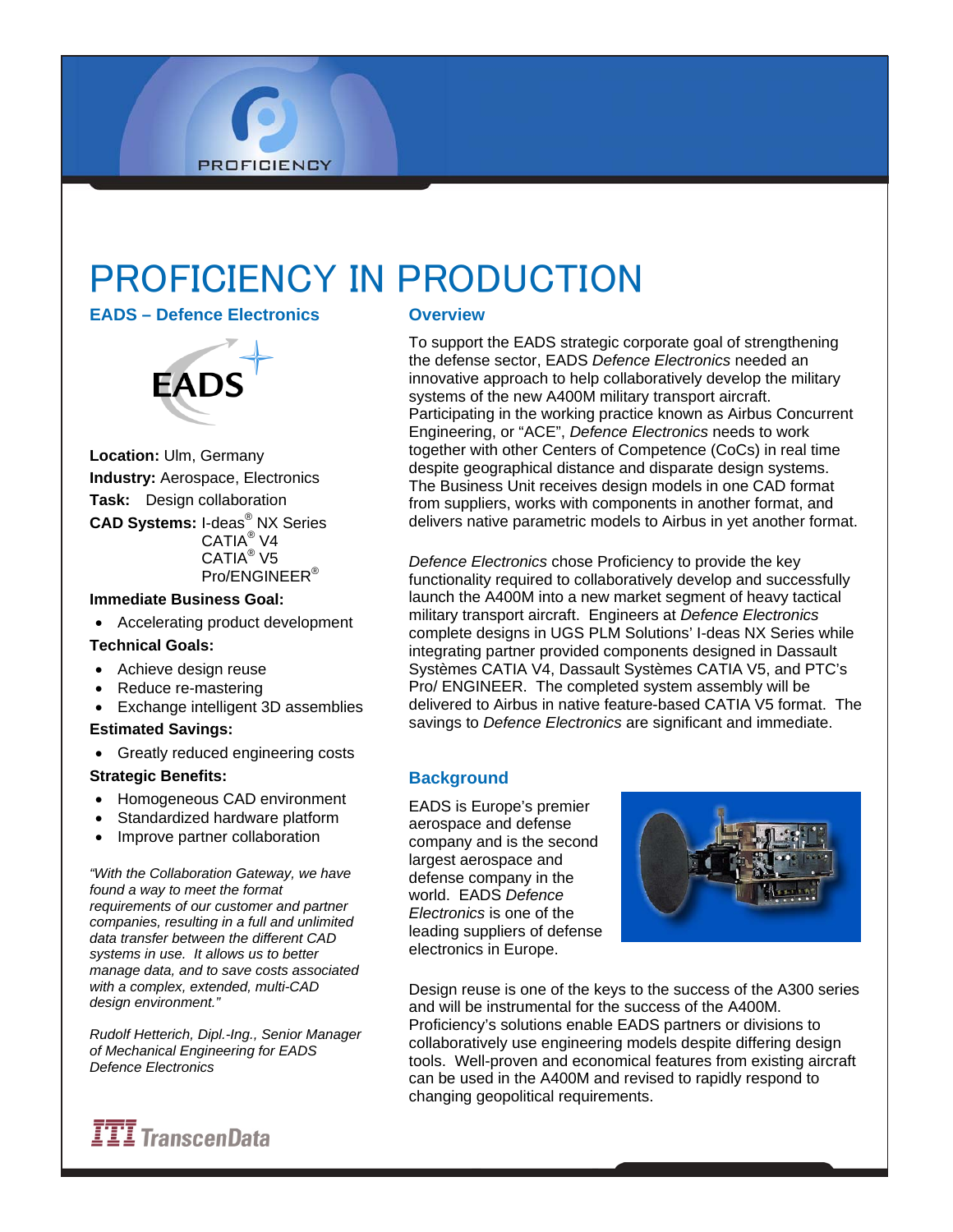# PROFICIENCY IN PRODUCTION

**EADS – Defence Electronics** 

**PROFICIENCY** 



**Location:** Ulm, Germany **Industry:** Aerospace, Electronics **Task:** Design collaboration **CAD Systems:** I-deas® NX Series CATIA® V4 CATIA® V5 Pro/ENGINEER®

# **Immediate Business Goal:**

• Accelerating product development

#### **Technical Goals:**

- Achieve design reuse
- Reduce re-mastering
- Exchange intelligent 3D assemblies

#### **Estimated Savings:**

• Greatly reduced engineering costs

#### **Strategic Benefits:**

- Homogeneous CAD environment
- Standardized hardware platform
- Improve partner collaboration

*"With the Collaboration Gateway, we have found a way to meet the format requirements of our customer and partner companies, resulting in a full and unlimited data transfer between the different CAD systems in use. It allows us to better manage data, and to save costs associated with a complex, extended, multi-CAD design environment."* 

*Rudolf Hetterich, Dipl.-Ing., Senior Manager of Mechanical Engineering for EADS Defence Electronics* 

#### **Overview**

To support the EADS strategic corporate goal of strengthening the defense sector, EADS *Defence Electronics* needed an innovative approach to help collaboratively develop the military systems of the new A400M military transport aircraft. Participating in the working practice known as Airbus Concurrent Engineering, or "ACE", *Defence Electronics* needs to work together with other Centers of Competence (CoCs) in real time despite geographical distance and disparate design systems. The Business Unit receives design models in one CAD format from suppliers, works with components in another format, and delivers native parametric models to Airbus in yet another format.

*Defence Electronics* chose Proficiency to provide the key functionality required to collaboratively develop and successfully launch the A400M into a new market segment of heavy tactical military transport aircraft. Engineers at *Defence Electronics* complete designs in UGS PLM Solutions' I-deas NX Series while integrating partner provided components designed in Dassault Systèmes CATIA V4, Dassault Systèmes CATIA V5, and PTC's Pro/ ENGINEER. The completed system assembly will be delivered to Airbus in native feature-based CATIA V5 format. The savings to *Defence Electronics* are significant and immediate.

# **Background**

EADS is Europe's premier aerospace and defense company and is the second largest aerospace and defense company in the world. EADS *Defence Electronics* is one of the leading suppliers of defense electronics in Europe.



Design reuse is one of the keys to the success of the A300 series and will be instrumental for the success of the A400M. Proficiency's solutions enable EADS partners or divisions to collaboratively use engineering models despite differing design tools. Well-proven and economical features from existing aircraft can be used in the A400M and revised to rapidly respond to changing geopolitical requirements.